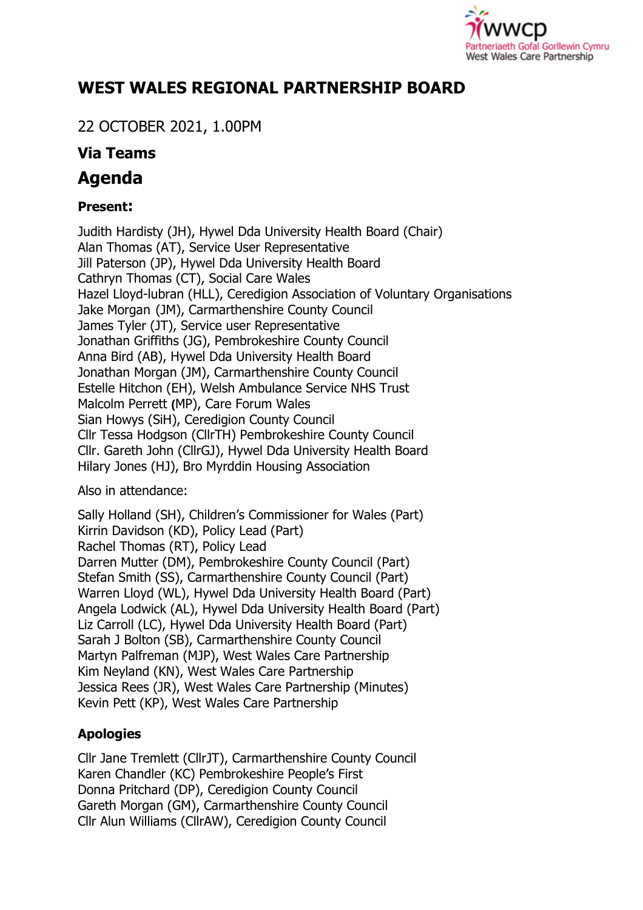

# **WEST WALES REGIONAL PARTNERSHIP BOARD**

22 OCTOBER 2021, 1.00PM

# **Via Teams**

# **Agenda**

## **Present:**

Judith Hardisty (JH), Hywel Dda University Health Board (Chair) Alan Thomas (AT), Service User Representative Jill Paterson (JP), Hywel Dda University Health Board Cathryn Thomas (CT), Social Care Wales Hazel Lloyd-lubran (HLL), Ceredigion Association of Voluntary Organisations Jake Morgan (JM), Carmarthenshire County Council James Tyler (JT), Service user Representative Jonathan Griffiths (JG), Pembrokeshire County Council Anna Bird (AB), Hywel Dda University Health Board Jonathan Morgan (JM), Carmarthenshire County Council Estelle Hitchon (EH), Welsh Ambulance Service NHS Trust Malcolm Perrett **(**MP), Care Forum Wales Sian Howys (SiH), Ceredigion County Council Cllr Tessa Hodgson (CllrTH) Pembrokeshire County Council Cllr. Gareth John (CllrGJ), Hywel Dda University Health Board Hilary Jones (HJ), Bro Myrddin Housing Association

Also in attendance:

Sally Holland (SH), Children's Commissioner for Wales (Part) Kirrin Davidson (KD), Policy Lead (Part) Rachel Thomas (RT), Policy Lead Darren Mutter (DM), Pembrokeshire County Council (Part) Stefan Smith (SS), Carmarthenshire County Council (Part) Warren Lloyd (WL), Hywel Dda University Health Board (Part) Angela Lodwick (AL), Hywel Dda University Health Board (Part) Liz Carroll (LC), Hywel Dda University Health Board (Part) Sarah J Bolton (SB), Carmarthenshire County Council Martyn Palfreman (MJP), West Wales Care Partnership Kim Neyland (KN), West Wales Care Partnership Jessica Rees (JR), West Wales Care Partnership (Minutes) Kevin Pett (KP), West Wales Care Partnership

## **Apologies**

Cllr Jane Tremlett (CllrJT), Carmarthenshire County Council Karen Chandler (KC) Pembrokeshire People's First Donna Pritchard (DP), Ceredigion County Council Gareth Morgan (GM), Carmarthenshire County Council Cllr Alun Williams (CllrAW), Ceredigion County Council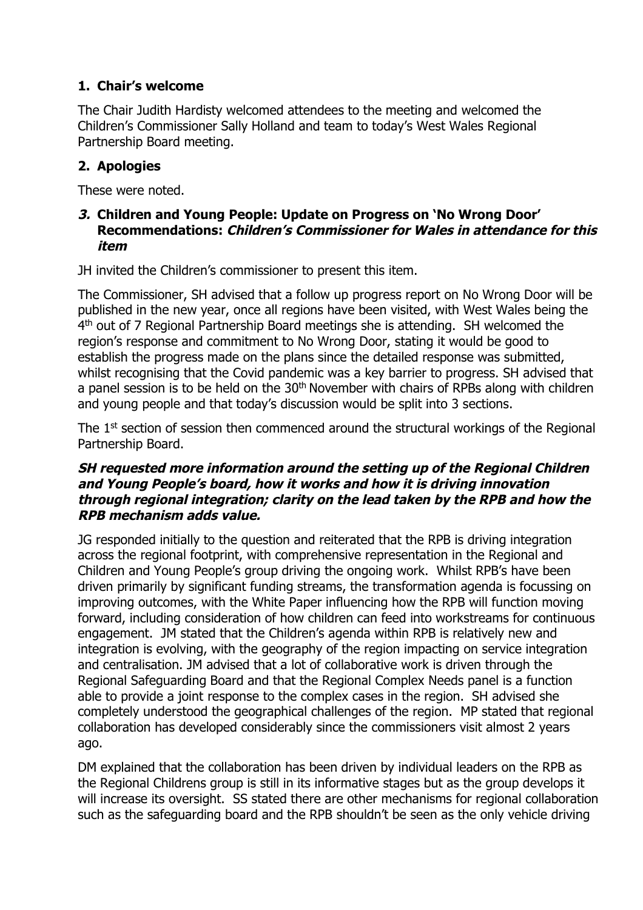### **1. Chair's welcome**

The Chair Judith Hardisty welcomed attendees to the meeting and welcomed the Children's Commissioner Sally Holland and team to today's West Wales Regional Partnership Board meeting.

#### **2. Apologies**

These were noted.

#### **3. Children and Young People: Update on Progress on 'No Wrong Door' Recommendations: Children's Commissioner for Wales in attendance for this item**

JH invited the Children's commissioner to present this item.

The Commissioner, SH advised that a follow up progress report on No Wrong Door will be published in the new year, once all regions have been visited, with West Wales being the 4<sup>th</sup> out of 7 Regional Partnership Board meetings she is attending. SH welcomed the region's response and commitment to No Wrong Door, stating it would be good to establish the progress made on the plans since the detailed response was submitted, whilst recognising that the Covid pandemic was a key barrier to progress. SH advised that a panel session is to be held on the  $30<sup>th</sup>$  November with chairs of RPBs along with children and young people and that today's discussion would be split into 3 sections.

The 1<sup>st</sup> section of session then commenced around the structural workings of the Regional Partnership Board.

#### SH requested more information around the setting up of the Regional Children and Young People's board, how it works and how it is driving innovation through regional integration; clarity on the lead taken by the RPB and how the **RPB mechanism adds value.**

JG responded initially to the question and reiterated that the RPB is driving integration across the regional footprint, with comprehensive representation in the Regional and Children and Young People's group driving the ongoing work. Whilst RPB's have been driven primarily by significant funding streams, the transformation agenda is focussing on improving outcomes, with the White Paper influencing how the RPB will function moving forward, including consideration of how children can feed into workstreams for continuous engagement. JM stated that the Children's agenda within RPB is relatively new and integration is evolving, with the geography of the region impacting on service integration and centralisation. JM advised that a lot of collaborative work is driven through the Regional Safeguarding Board and that the Regional Complex Needs panel is a function able to provide a joint response to the complex cases in the region. SH advised she completely understood the geographical challenges of the region. MP stated that regional collaboration has developed considerably since the commissioners visit almost 2 years ago.

DM explained that the collaboration has been driven by individual leaders on the RPB as the Regional Childrens group is still in its informative stages but as the group develops it will increase its oversight. SS stated there are other mechanisms for regional collaboration such as the safeguarding board and the RPB shouldn't be seen as the only vehicle driving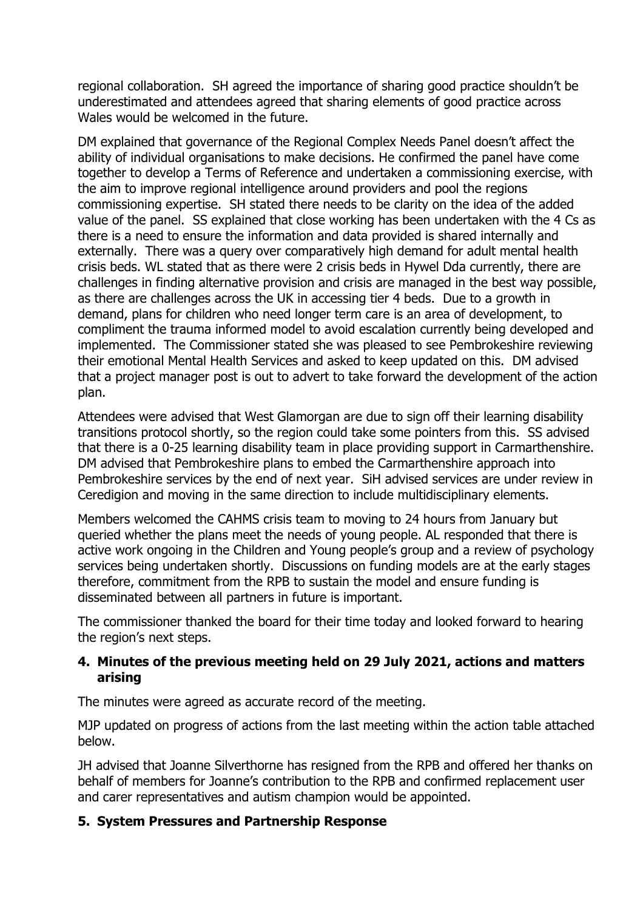regional collaboration. SH agreed the importance of sharing good practice shouldn't be underestimated and attendees agreed that sharing elements of good practice across Wales would be welcomed in the future.

DM explained that governance of the Regional Complex Needs Panel doesn't affect the ability of individual organisations to make decisions. He confirmed the panel have come together to develop a Terms of Reference and undertaken a commissioning exercise, with the aim to improve regional intelligence around providers and pool the regions commissioning expertise. SH stated there needs to be clarity on the idea of the added value of the panel. SS explained that close working has been undertaken with the 4 Cs as there is a need to ensure the information and data provided is shared internally and externally. There was a query over comparatively high demand for adult mental health crisis beds. WL stated that as there were 2 crisis beds in Hywel Dda currently, there are challenges in finding alternative provision and crisis are managed in the best way possible, as there are challenges across the UK in accessing tier 4 beds. Due to a growth in demand, plans for children who need longer term care is an area of development, to compliment the trauma informed model to avoid escalation currently being developed and implemented. The Commissioner stated she was pleased to see Pembrokeshire reviewing their emotional Mental Health Services and asked to keep updated on this. DM advised that a project manager post is out to advert to take forward the development of the action plan.

Attendees were advised that West Glamorgan are due to sign off their learning disability transitions protocol shortly, so the region could take some pointers from this. SS advised that there is a 0-25 learning disability team in place providing support in Carmarthenshire. DM advised that Pembrokeshire plans to embed the Carmarthenshire approach into Pembrokeshire services by the end of next year. SiH advised services are under review in Ceredigion and moving in the same direction to include multidisciplinary elements.

Members welcomed the CAHMS crisis team to moving to 24 hours from January but queried whether the plans meet the needs of young people. AL responded that there is active work ongoing in the Children and Young people's group and a review of psychology services being undertaken shortly. Discussions on funding models are at the early stages therefore, commitment from the RPB to sustain the model and ensure funding is disseminated between all partners in future is important.

The commissioner thanked the board for their time today and looked forward to hearing the region's next steps.

#### **4. Minutes of the previous meeting held on 29 July 2021, actions and matters arising**

The minutes were agreed as accurate record of the meeting.

MJP updated on progress of actions from the last meeting within the action table attached below.

JH advised that Joanne Silverthorne has resigned from the RPB and offered her thanks on behalf of members for Joanne's contribution to the RPB and confirmed replacement user and carer representatives and autism champion would be appointed.

#### **5. System Pressures and Partnership Response**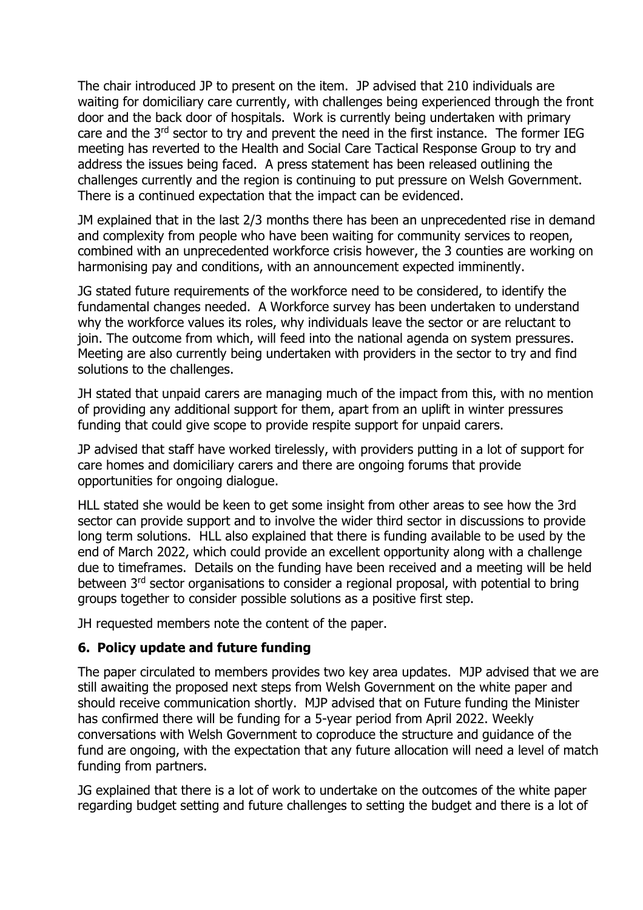The chair introduced JP to present on the item. JP advised that 210 individuals are waiting for domiciliary care currently, with challenges being experienced through the front door and the back door of hospitals. Work is currently being undertaken with primary care and the 3<sup>rd</sup> sector to try and prevent the need in the first instance. The former IEG meeting has reverted to the Health and Social Care Tactical Response Group to try and address the issues being faced. A press statement has been released outlining the challenges currently and the region is continuing to put pressure on Welsh Government. There is a continued expectation that the impact can be evidenced.

JM explained that in the last 2/3 months there has been an unprecedented rise in demand and complexity from people who have been waiting for community services to reopen, combined with an unprecedented workforce crisis however, the 3 counties are working on harmonising pay and conditions, with an announcement expected imminently.

JG stated future requirements of the workforce need to be considered, to identify the fundamental changes needed. A Workforce survey has been undertaken to understand why the workforce values its roles, why individuals leave the sector or are reluctant to join. The outcome from which, will feed into the national agenda on system pressures. Meeting are also currently being undertaken with providers in the sector to try and find solutions to the challenges.

JH stated that unpaid carers are managing much of the impact from this, with no mention of providing any additional support for them, apart from an uplift in winter pressures funding that could give scope to provide respite support for unpaid carers.

JP advised that staff have worked tirelessly, with providers putting in a lot of support for care homes and domiciliary carers and there are ongoing forums that provide opportunities for ongoing dialogue.

HLL stated she would be keen to get some insight from other areas to see how the 3rd sector can provide support and to involve the wider third sector in discussions to provide long term solutions. HLL also explained that there is funding available to be used by the end of March 2022, which could provide an excellent opportunity along with a challenge due to timeframes. Details on the funding have been received and a meeting will be held between 3<sup>rd</sup> sector organisations to consider a regional proposal, with potential to bring groups together to consider possible solutions as a positive first step.

JH requested members note the content of the paper.

#### **6. Policy update and future funding**

The paper circulated to members provides two key area updates. MJP advised that we are still awaiting the proposed next steps from Welsh Government on the white paper and should receive communication shortly. MJP advised that on Future funding the Minister has confirmed there will be funding for a 5-year period from April 2022. Weekly conversations with Welsh Government to coproduce the structure and guidance of the fund are ongoing, with the expectation that any future allocation will need a level of match funding from partners.

JG explained that there is a lot of work to undertake on the outcomes of the white paper regarding budget setting and future challenges to setting the budget and there is a lot of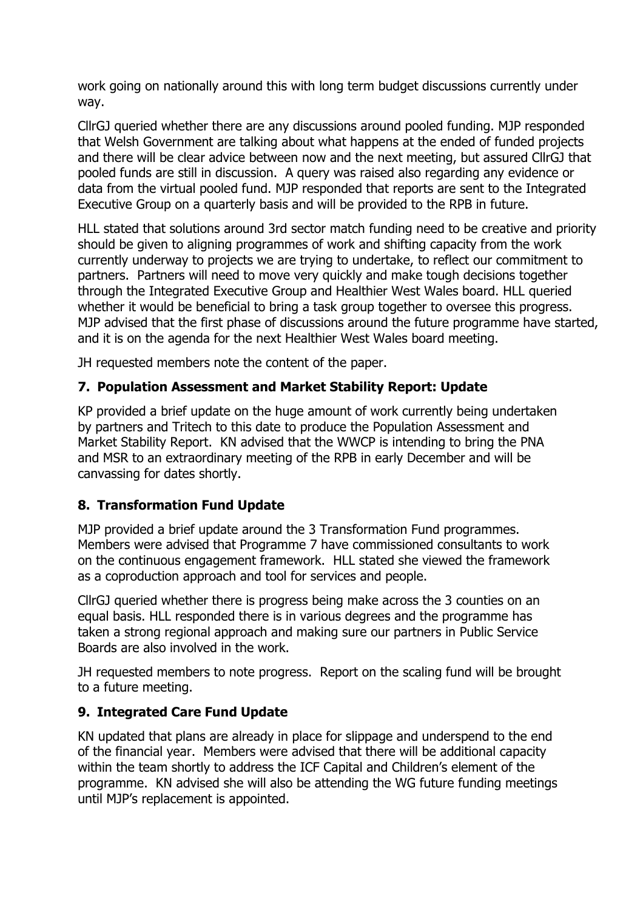work going on nationally around this with long term budget discussions currently under way.

CllrGJ queried whether there are any discussions around pooled funding. MJP responded that Welsh Government are talking about what happens at the ended of funded projects and there will be clear advice between now and the next meeting, but assured CllrGJ that pooled funds are still in discussion. A query was raised also regarding any evidence or data from the virtual pooled fund. MJP responded that reports are sent to the Integrated Executive Group on a quarterly basis and will be provided to the RPB in future.

HLL stated that solutions around 3rd sector match funding need to be creative and priority should be given to aligning programmes of work and shifting capacity from the work currently underway to projects we are trying to undertake, to reflect our commitment to partners. Partners will need to move very quickly and make tough decisions together through the Integrated Executive Group and Healthier West Wales board. HLL queried whether it would be beneficial to bring a task group together to oversee this progress. MJP advised that the first phase of discussions around the future programme have started, and it is on the agenda for the next Healthier West Wales board meeting.

JH requested members note the content of the paper.

### **7. Population Assessment and Market Stability Report: Update**

KP provided a brief update on the huge amount of work currently being undertaken by partners and Tritech to this date to produce the Population Assessment and Market Stability Report. KN advised that the WWCP is intending to bring the PNA and MSR to an extraordinary meeting of the RPB in early December and will be canvassing for dates shortly.

#### **8. Transformation Fund Update**

MJP provided a brief update around the 3 Transformation Fund programmes. Members were advised that Programme 7 have commissioned consultants to work on the continuous engagement framework. HLL stated she viewed the framework as a coproduction approach and tool for services and people.

CllrGJ queried whether there is progress being make across the 3 counties on an equal basis. HLL responded there is in various degrees and the programme has taken a strong regional approach and making sure our partners in Public Service Boards are also involved in the work.

JH requested members to note progress. Report on the scaling fund will be brought to a future meeting.

#### **9. Integrated Care Fund Update**

KN updated that plans are already in place for slippage and underspend to the end of the financial year. Members were advised that there will be additional capacity within the team shortly to address the ICF Capital and Children's element of the programme. KN advised she will also be attending the WG future funding meetings until MJP's replacement is appointed.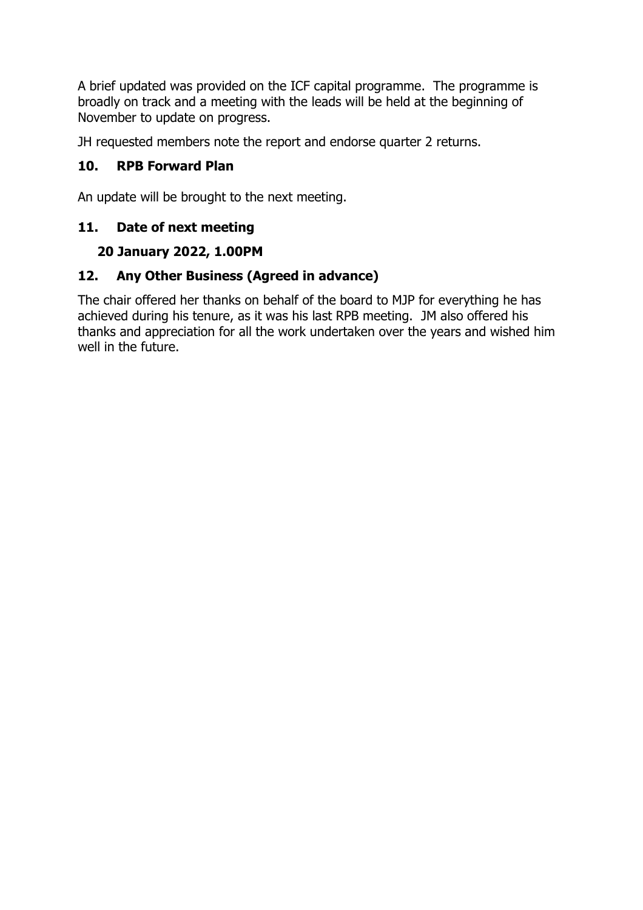A brief updated was provided on the ICF capital programme. The programme is broadly on track and a meeting with the leads will be held at the beginning of November to update on progress.

JH requested members note the report and endorse quarter 2 returns.

### **10. RPB Forward Plan**

An update will be brought to the next meeting.

#### **11. Date of next meeting**

## **20 January 2022, 1.00PM**

### **12. Any Other Business (Agreed in advance)**

The chair offered her thanks on behalf of the board to MJP for everything he has achieved during his tenure, as it was his last RPB meeting. JM also offered his thanks and appreciation for all the work undertaken over the years and wished him well in the future.